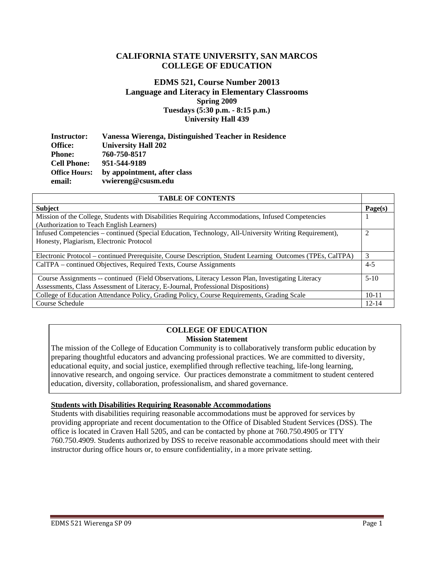# **CALIFORNIA STATE UNIVERSITY, SAN MARCOS COLLEGE OF EDUCATION**

## **EDMS 521, Course Number 20013 Language and Literacy in Elementary Classrooms Spring 2009 Tuesdays (5:30 p.m. - 8:15 p.m.) University Hall 439**

| <b>Instructor:</b>   | Vanessa Wierenga, Distinguished Teacher in Residence |
|----------------------|------------------------------------------------------|
| <b>Office:</b>       | <b>University Hall 202</b>                           |
| Phone:               | 760-750-8517                                         |
| <b>Cell Phone:</b>   | 951-544-9189                                         |
| <b>Office Hours:</b> | by appointment, after class                          |
| email:               | vwiereng@csusm.edu                                   |

| <b>TABLE OF CONTENTS</b>                                                                                                                                                              |           |
|---------------------------------------------------------------------------------------------------------------------------------------------------------------------------------------|-----------|
| <b>Subject</b>                                                                                                                                                                        | Page(s)   |
| Mission of the College, Students with Disabilities Requiring Accommodations, Infused Competencies<br>(Authorization to Teach English Learners)                                        |           |
| Infused Competencies – continued (Special Education, Technology, All-University Writing Requirement),<br>Honesty, Plagiarism, Electronic Protocol                                     |           |
| Electronic Protocol – continued Prerequisite, Course Description, Student Learning Outcomes (TPEs, CalTPA)                                                                            | 3         |
| CalTPA - continued Objectives, Required Texts, Course Assignments                                                                                                                     | $4 - 5$   |
| Course Assignments -- continued (Field Observations, Literacy Lesson Plan, Investigating Literacy<br>Assessments, Class Assessment of Literacy, E-Journal, Professional Dispositions) | $5-10$    |
| College of Education Attendance Policy, Grading Policy, Course Requirements, Grading Scale                                                                                            |           |
| Course Schedule                                                                                                                                                                       | $12 - 14$ |

### **COLLEGE OF EDUCATION Mission Statement**

The mission of the College of Education Community is to collaboratively transform public education by preparing thoughtful educators and advancing professional practices. We are committed to diversity, educational equity, and social justice, exemplified through reflective teaching, life-long learning, innovative research, and ongoing service. Our practices demonstrate a commitment to student centered education, diversity, collaboration, professionalism, and shared governance.

### **Students with Disabilities Requiring Reasonable Accommodations**

Students with disabilities requiring reasonable accommodations must be approved for services by providing appropriate and recent documentation to the Office of Disabled Student Services (DSS). The office is located in Craven Hall 5205, and can be contacted by phone at 760.750.4905 or TTY 760.750.4909. Students authorized by DSS to receive reasonable accommodations should meet with their instructor during office hours or, to ensure confidentiality, in a more private setting.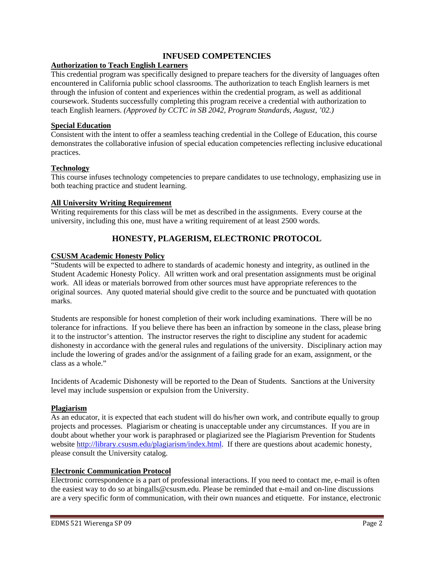## **INFUSED COMPETENCIES**

### **Authorization to Teach English Learners**

This credential program was specifically designed to prepare teachers for the diversity of languages often encountered in California public school classrooms. The authorization to teach English learners is met through the infusion of content and experiences within the credential program, as well as additional coursework. Students successfully completing this program receive a credential with authorization to teach English learners. *(Approved by CCTC in SB 2042, Program Standards, August, '02.)* 

# **Special Education**

Consistent with the intent to offer a seamless teaching credential in the College of Education, this course demonstrates the collaborative infusion of special education competencies reflecting inclusive educational practices.

### **Technology**

This course infuses technology competencies to prepare candidates to use technology, emphasizing use in both teaching practice and student learning.

#### **All University Writing Requirement**

Writing requirements for this class will be met as described in the assignments. Every course at the university, including this one, must have a writing requirement of at least 2500 words.

# **HONESTY, PLAGERISM, ELECTRONIC PROTOCOL**

#### **CSUSM Academic Honesty Policy**

"Students will be expected to adhere to standards of academic honesty and integrity, as outlined in the Student Academic Honesty Policy. All written work and oral presentation assignments must be original work. All ideas or materials borrowed from other sources must have appropriate references to the original sources. Any quoted material should give credit to the source and be punctuated with quotation marks.

Students are responsible for honest completion of their work including examinations. There will be no tolerance for infractions. If you believe there has been an infraction by someone in the class, please bring it to the instructor's attention. The instructor reserves the right to discipline any student for academic dishonesty in accordance with the general rules and regulations of the university. Disciplinary action may include the lowering of grades and/or the assignment of a failing grade for an exam, assignment, or the class as a whole."

Incidents of Academic Dishonesty will be reported to the Dean of Students. Sanctions at the University level may include suspension or expulsion from the University.

### **Plagiarism**

As an educator, it is expected that each student will do his/her own work, and contribute equally to group projects and processes. Plagiarism or cheating is unacceptable under any circumstances. If you are in doubt about whether your work is paraphrased or plagiarized see the Plagiarism Prevention for Students website http://library.csusm.edu/plagiarism/index.html. If there are questions about academic honesty, please consult the University catalog.

### **Electronic Communication Protocol**

Electronic correspondence is a part of professional interactions. If you need to contact me, e-mail is often the easiest way to do so at bingalls@csusm.edu. Please be reminded that e-mail and on-line discussions are a very specific form of communication, with their own nuances and etiquette. For instance, electronic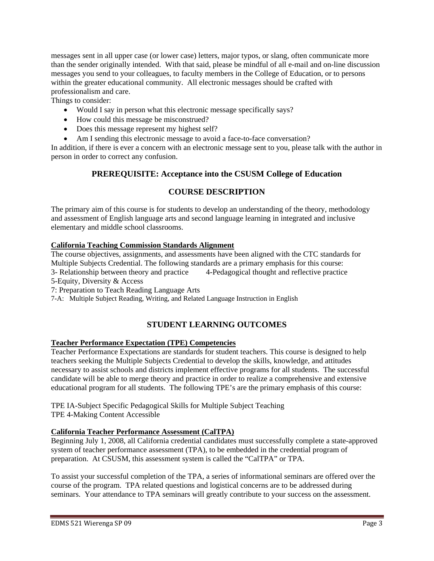messages sent in all upper case (or lower case) letters, major typos, or slang, often communicate more than the sender originally intended. With that said, please be mindful of all e-mail and on-line discussion messages you send to your colleagues, to faculty members in the College of Education, or to persons within the greater educational community. All electronic messages should be crafted with professionalism and care.

Things to consider:

- Would I say in person what this electronic message specifically says?
- How could this message be misconstrued?
- Does this message represent my highest self?
- Am I sending this electronic message to avoid a face-to-face conversation?

 person in order to correct any confusion. In addition, if there is ever a concern with an electronic message sent to you, please talk with the author in

# **PREREQUISITE: Acceptance into the CSUSM College of Education**

# **COURSE DESCRIPTION**

The primary aim of this course is for students to develop an understanding of the theory, methodology and assessment of English language arts and second language learning in integrated and inclusive elementary and middle school classrooms.

# **California Teaching Commission Standards Alignment**

The course objectives, assignments, and assessments have been aligned with the CTC standards for Multiple Subjects Credential. The following standards are a primary emphasis for this course: 3- Relationship between theory and practice 4-Pedagogical thought and reflective practice

5-Equity, Diversity & Access

7: Preparation to Teach Reading Language Arts

7-A: Multiple Subject Reading, Writing, and Related Language Instruction in English

# **STUDENT LEARNING OUTCOMES**

# **Teacher Performance Expectation (TPE) Competencies**

Teacher Performance Expectations are standards for student teachers. This course is designed to help teachers seeking the Multiple Subjects Credential to develop the skills, knowledge, and attitudes necessary to assist schools and districts implement effective programs for all students. The successful candidate will be able to merge theory and practice in order to realize a comprehensive and extensive educational program for all students. The following TPE's are the primary emphasis of this course:

 TPE 4-Making Content Accessible TPE IA-Subject Specific Pedagogical Skills for Multiple Subject Teaching

# **California Teacher Performance Assessment (CalTPA)**

Beginning July 1, 2008, all California credential candidates must successfully complete a state-approved system of teacher performance assessment (TPA), to be embedded in the credential program of preparation. At CSUSM, this assessment system is called the "CalTPA" or TPA.

To assist your successful completion of the TPA, a series of informational seminars are offered over the course of the program. TPA related questions and logistical concerns are to be addressed during seminars. Your attendance to TPA seminars will greatly contribute to your success on the assessment.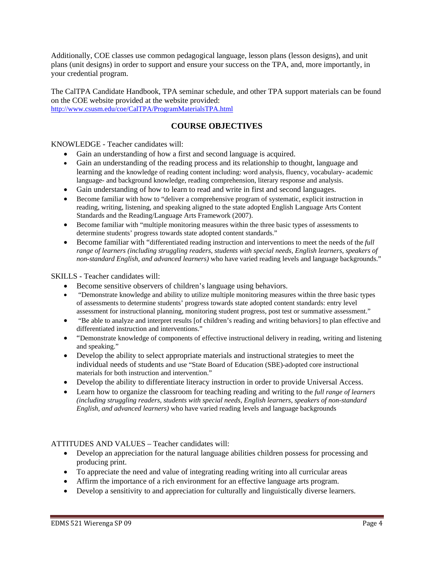Additionally, COE classes use common pedagogical language, lesson plans (lesson designs), and unit plans (unit designs) in order to support and ensure your success on the TPA, and, more importantly, in your credential program.

The CalTPA Candidate Handbook, TPA seminar schedule, and other TPA support materials can be found on the COE website provided at the website provided: http://www.csusm.edu/coe/CalTPA/ProgramMaterialsTPA.html

# **COURSE OBJECTIVES**

KNOWLEDGE - Teacher candidates will:

- Gain an understanding of how a first and second language is acquired.
- Gain an understanding of the reading process and its relationship to thought, language and learning and the knowledge of reading content including: word analysis, fluency, vocabulary- academic language- and background knowledge, reading comprehension, literary response and analysis.
- Gain understanding of how to learn to read and write in first and second languages.
- • Become familiar with how to "deliver a comprehensive program of systematic, explicit instruction in reading, writing, listening, and speaking aligned to the state adopted English Language Arts Content Standards and the Reading/Language Arts Framework (2007).
- Become familiar with "multiple monitoring measures within the three basic types of assessments to determine students' progress towards state adopted content standards."
- *non-standard English, and advanced learners)* who have varied reading levels and language backgrounds." • Become familiar with "differentiated reading instruction and interventions to meet the needs of the *full range of learners (including struggling readers, students with special needs, English learners, speakers of*

### SKILLS - Teacher candidates will:

- Become sensitive observers of children's language using behaviors.
- "Demonstrate knowledge and ability to utilize multiple monitoring measures within the three basic types of assessments to determine students' progress towards state adopted content standards: entry level assessment for instructional planning, monitoring student progress, post test or summative assessment."
- "Be able to analyze and interpret results [of children's reading and writing behaviors] to plan effective and differentiated instruction and interventions."
- "Demonstrate knowledge of components of effective instructional delivery in reading, writing and listening and speaking."
- Develop the ability to select appropriate materials and instructional strategies to meet the individual needs of students and use "State Board of Education (SBE)-adopted core instructional materials for both instruction and intervention."
- Develop the ability to differentiate literacy instruction in order to provide Universal Access.
- • Learn how to organize the classroom for teaching reading and writing to the *full range of learners (including struggling readers, students with special needs, English learners, speakers of non-standard English, and advanced learners)* who have varied reading levels and language backgrounds

### ATTITUDES AND VALUES – Teacher candidates will:

- Develop an appreciation for the natural language abilities children possess for processing and producing print.
- To appreciate the need and value of integrating reading writing into all curricular areas
- Affirm the importance of a rich environment for an effective language arts program.
- Develop a sensitivity to and appreciation for culturally and linguistically diverse learners.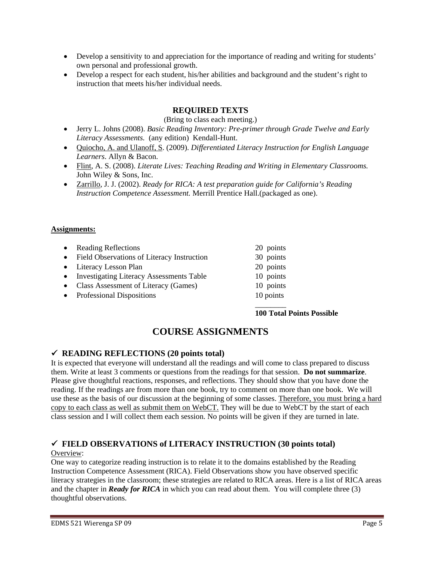- Develop a sensitivity to and appreciation for the importance of reading and writing for students' own personal and professional growth.
- Develop a respect for each student, his/her abilities and background and the student's right to instruction that meets his/her individual needs.

# **REQUIRED TEXTS**

(Bring to class each meeting.)

- • Jerry L. Johns (2008). *Basic Reading Inventory: Pre-primer through Grade Twelve and Early Literacy Assessments.* (any edition) Kendall-Hunt.
- • Quiocho, A. and Ulanoff, S. (2009). *Differentiated Literacy Instruction for English Language Learners*. Allyn & Bacon.
- • Flint, A. S. (2008). *Literate Lives: Teaching Reading and Writing in Elementary Classrooms.*  John Wiley & Sons, Inc.
- • Zarrillo, J. J. (2002). *Ready for RICA: A test preparation guide for California's Reading Instruction Competence Assessment.* Merrill Prentice Hall.(packaged as one).

### **Assignments:**

| • Reading Reflections                        | 20 points |
|----------------------------------------------|-----------|
| • Field Observations of Literacy Instruction | 30 points |
| • Literacy Lesson Plan                       | 20 points |
| • Investigating Literacy Assessments Table   | 10 points |
| • Class Assessment of Literacy (Games)       | 10 points |
| • Professional Dispositions                  | 10 points |
|                                              |           |

### **100 Total Points Possible**

# **COURSE ASSIGNMENTS**

# 9  **READING REFLECTIONS (20 points total)**

It is expected that everyone will understand all the readings and will come to class prepared to discuss them. Write at least 3 comments or questions from the readings for that session. **Do not summarize**. Please give thoughtful reactions, responses, and reflections. They should show that you have done the reading. If the readings are from more than one book, try to comment on more than one book. We will use these as the basis of our discussion at the beginning of some classes. Therefore, you must bring a hard copy to each class as well as submit them on WebCT. They will be due to WebCT by the start of each class session and I will collect them each session. No points will be given if they are turned in late.

# 9  **FIELD OBSERVATIONS of LITERACY INSTRUCTION (30 points total)**

# Overview:

One way to categorize reading instruction is to relate it to the domains established by the Reading Instruction Competence Assessment (RICA). Field Observations show you have observed specific literacy strategies in the classroom; these strategies are related to RICA areas. Here is a list of RICA areas and the chapter in *Ready for RICA* in which you can read about them. You will complete three (3) thoughtful observations.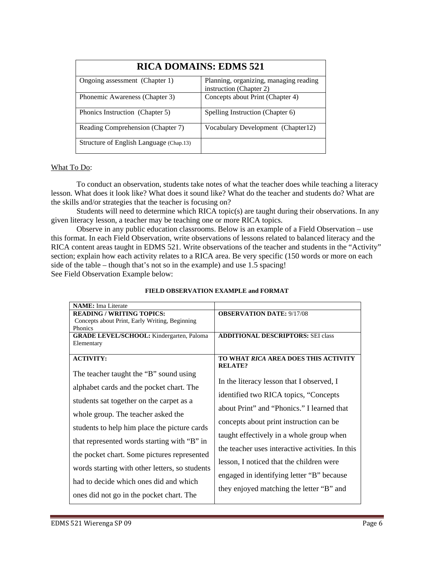| <b>RICA DOMAINS: EDMS 521</b>           |                                                                   |  |  |
|-----------------------------------------|-------------------------------------------------------------------|--|--|
| Ongoing assessment (Chapter 1)          | Planning, organizing, managing reading<br>instruction (Chapter 2) |  |  |
| Phonemic Awareness (Chapter 3)          | Concepts about Print (Chapter 4)                                  |  |  |
| Phonics Instruction (Chapter 5)         | Spelling Instruction (Chapter 6)                                  |  |  |
| Reading Comprehension (Chapter 7)       | Vocabulary Development (Chapter 12)                               |  |  |
| Structure of English Language (Chap.13) |                                                                   |  |  |

### What To Do:

To conduct an observation, students take notes of what the teacher does while teaching a literacy lesson. What does it look like? What does it sound like? What do the teacher and students do? What are the skills and/or strategies that the teacher is focusing on?

Students will need to determine which RICA topic(s) are taught during their observations. In any given literacy lesson, a teacher may be teaching one or more RICA topics.

 side of the table – though that's not so in the example) and use 1.5 spacing! See Field Observation Example below: Observe in any public education classrooms. Below is an example of a Field Observation – use this format. In each Field Observation, write observations of lessons related to balanced literacy and the RICA content areas taught in EDMS 521. Write observations of the teacher and students in the "Activity" section; explain how each activity relates to a RICA area. Be very specific (150 words or more on each

| <b>NAME</b> : Ima Literate                                    |                                                        |  |  |
|---------------------------------------------------------------|--------------------------------------------------------|--|--|
| <b>READING / WRITING TOPICS:</b>                              | <b>OBSERVATION DATE: 9/17/08</b>                       |  |  |
| Concepts about Print, Early Writing, Beginning                |                                                        |  |  |
| Phonics                                                       |                                                        |  |  |
| <b>GRADE LEVEL/SCHOOL:</b> Kindergarten, Paloma<br>Elementary | <b>ADDITIONAL DESCRIPTORS: SEI class</b>               |  |  |
|                                                               |                                                        |  |  |
| <b>ACTIVITY:</b>                                              | TO WHAT RICA AREA DOES THIS ACTIVITY<br><b>RELATE?</b> |  |  |
| The teacher taught the "B" sound using                        |                                                        |  |  |
|                                                               | In the literacy lesson that I observed, I              |  |  |
| alphabet cards and the pocket chart. The                      |                                                        |  |  |
| students sat together on the carpet as a                      | identified two RICA topics, "Concepts"                 |  |  |
|                                                               | about Print" and "Phonics." I learned that             |  |  |
| whole group. The teacher asked the                            |                                                        |  |  |
| students to help him place the picture cards                  | concepts about print instruction can be                |  |  |
|                                                               | taught effectively in a whole group when               |  |  |
| that represented words starting with "B" in                   |                                                        |  |  |
|                                                               | the teacher uses interactive activities. In this       |  |  |
| the pocket chart. Some pictures represented                   |                                                        |  |  |
| words starting with other letters, so students                | lesson, I noticed that the children were               |  |  |
|                                                               | engaged in identifying letter "B" because              |  |  |
| had to decide which ones did and which                        |                                                        |  |  |
|                                                               | they enjoyed matching the letter "B" and               |  |  |
| ones did not go in the pocket chart. The                      |                                                        |  |  |

### **FIELD OBSERVATION EXAMPLE and FORMAT**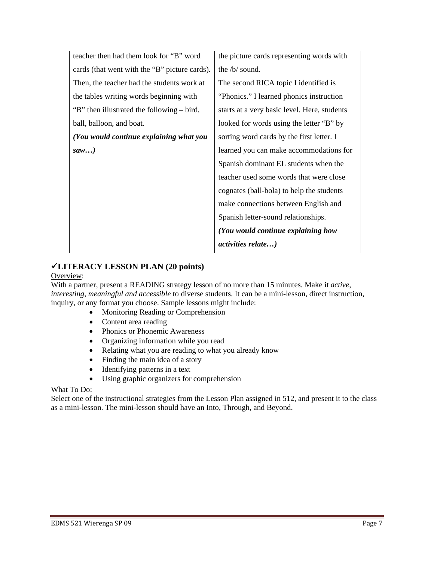| teacher then had them look for "B" word       | the picture cards representing words with    |
|-----------------------------------------------|----------------------------------------------|
| cards (that went with the "B" picture cards). | the $/b/$ sound.                             |
| Then, the teacher had the students work at    | The second RICA topic I identified is        |
| the tables writing words beginning with       | "Phonics." I learned phonics instruction     |
| "B" then illustrated the following – bird,    | starts at a very basic level. Here, students |
| ball, balloon, and boat.                      | looked for words using the letter "B" by     |
| (You would continue explaining what you       | sorting word cards by the first letter. I    |
| saw                                           | learned you can make accommodations for      |
|                                               | Spanish dominant EL students when the        |
|                                               | teacher used some words that were close      |
|                                               | cognates (ball-bola) to help the students    |
|                                               | make connections between English and         |
|                                               | Spanish letter-sound relationships.          |
|                                               | (You would continue explaining how           |
|                                               | activities relate)                           |

# 9**LITERACY LESSON PLAN (20 points)**

# Overview:

With a partner, present a READING strategy lesson of no more than 15 minutes. Make it *active, interesting, meaningful and accessible* to diverse students. It can be a mini-lesson, direct instruction, inquiry, or any format you choose. Sample lessons might include:

- Monitoring Reading or Comprehension
- Content area reading
- Phonics or Phonemic Awareness
- Organizing information while you read
- Relating what you are reading to what you already know
- Finding the main idea of a story
- Identifying patterns in a text
- Using graphic organizers for comprehension

### What To Do:

Select one of the instructional strategies from the Lesson Plan assigned in 512, and present it to the class as a mini-lesson. The mini-lesson should have an Into, Through, and Beyond.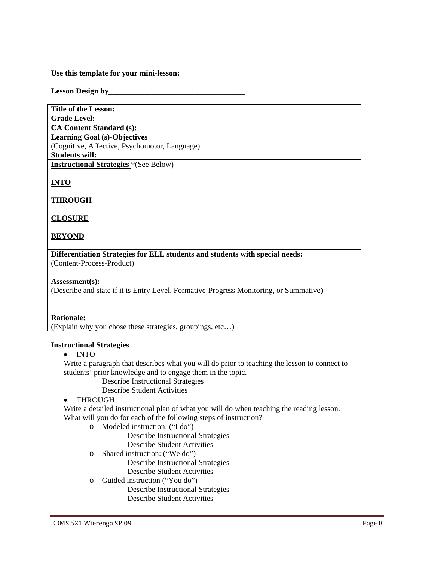#### **Use this template for your mini-lesson:**

#### Lesson Design by

| <b>Title of the Lesson:</b>                                                                                                                                                                      |
|--------------------------------------------------------------------------------------------------------------------------------------------------------------------------------------------------|
| <b>Grade Level:</b>                                                                                                                                                                              |
| <b>CA Content Standard (s):</b>                                                                                                                                                                  |
| <b>Learning Goal (s)-Objectives</b>                                                                                                                                                              |
| (Cognitive, Affective, Psychomotor, Language)                                                                                                                                                    |
| <b>Students will:</b>                                                                                                                                                                            |
| <b>Instructional Strategies</b> *(See Below)                                                                                                                                                     |
| <b>INTO</b>                                                                                                                                                                                      |
| <b>THROUGH</b>                                                                                                                                                                                   |
| <b>CLOSURE</b>                                                                                                                                                                                   |
| <b>BEYOND</b>                                                                                                                                                                                    |
| Differentiation Strategies for ELL students and students with special needs:                                                                                                                     |
| (Content-Process-Product)                                                                                                                                                                        |
| Assessment(s):<br>$\mathbf{u} = \mathbf{u} + \mathbf{u} + \mathbf{u}$ , $\mathbf{u} = \mathbf{u} + \mathbf{u}$ , $\mathbf{u} = \mathbf{u} + \mathbf{u}$ , $\mathbf{u} = \mathbf{u} + \mathbf{u}$ |

(Describe and state if it is Entry Level, Formative-Progress Monitoring, or Summative)

## **Rationale:**

(Explain why you chose these strategies, groupings, etc…)

#### **Instructional Strategies**

• INTO

Write a paragraph that describes what you will do prior to teaching the lesson to connect to students' prior knowledge and to engage them in the topic.

Describe Instructional Strategies

Describe Student Activities

### • THROUGH

Write a detailed instructional plan of what you will do when teaching the reading lesson. What will you do for each of the following steps of instruction?

o Modeled instruction: ("I do")

Describe Instructional Strategies

Describe Student Activities

- o Shared instruction: ("We do") Describe Instructional Strategies Describe Student Activities
- o Guided instruction ("You do")

Describe Instructional Strategies Describe Student Activities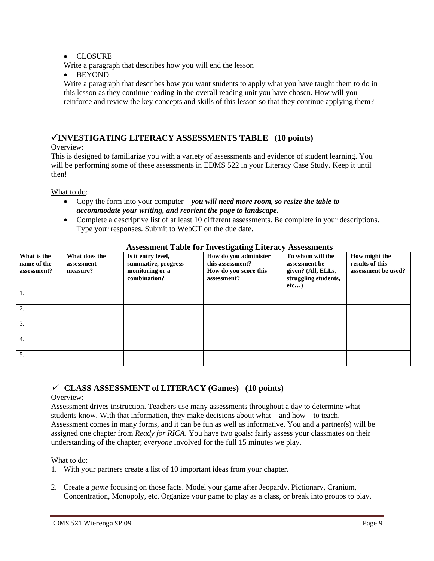# • CLOSURE

Write a paragraph that describes how you will end the lesson

• BEYOND

Write a paragraph that describes how you want students to apply what you have taught them to do in this lesson as they continue reading in the overall reading unit you have chosen. How will you reinforce and review the key concepts and skills of this lesson so that they continue applying them?

# 9**INVESTIGATING LITERACY ASSESSMENTS TABLE (10 points)**

# Overview:

This is designed to familiarize you with a variety of assessments and evidence of student learning. You will be performing some of these assessments in EDMS 522 in your Literacy Case Study. Keep it until then!

What to do:

- *accommodate your writing, and reorient the page to landscape.* • Copy the form into your computer – *you will need more room, so resize the table to*
- Complete a descriptive list of at least 10 different assessments. Be complete in your descriptions. Type your responses. Submit to WebCT on the due date.

| What is the<br>name of the<br>assessment? | What does the<br>assessment<br>measure? | Is it entry level,<br>summative, progress<br>monitoring or a<br>combination? | How do you administer<br>this assessment?<br>How do you score this<br>assessment? | To whom will the<br>assessment be<br>given? (All, ELLs,<br>struggling students,<br>etc) | How might the<br>results of this<br>assessment be used? |
|-------------------------------------------|-----------------------------------------|------------------------------------------------------------------------------|-----------------------------------------------------------------------------------|-----------------------------------------------------------------------------------------|---------------------------------------------------------|
| 1.                                        |                                         |                                                                              |                                                                                   |                                                                                         |                                                         |
| 2.                                        |                                         |                                                                              |                                                                                   |                                                                                         |                                                         |
| 3.                                        |                                         |                                                                              |                                                                                   |                                                                                         |                                                         |
| 4.                                        |                                         |                                                                              |                                                                                   |                                                                                         |                                                         |
| 5.                                        |                                         |                                                                              |                                                                                   |                                                                                         |                                                         |

# **Assessment Table for Investigating Literacy Assessments**

# <sup>9</sup> **CLASS ASSESSMENT of LITERACY (Games) (10 points)**

# Overview:

Assessment drives instruction. Teachers use many assessments throughout a day to determine what students know. With that information, they make decisions about what – and how – to teach. Assessment comes in many forms, and it can be fun as well as informative. You and a partner(s) will be assigned one chapter from *Ready for RICA*. You have two goals: fairly assess your classmates on their understanding of the chapter; *everyone* involved for the full 15 minutes we play.

# What to do:

- 1. With your partners create a list of 10 important ideas from your chapter.
- 2. Create a *game* focusing on those facts. Model your game after Jeopardy, Pictionary, Cranium, Concentration, Monopoly, etc. Organize your game to play as a class, or break into groups to play.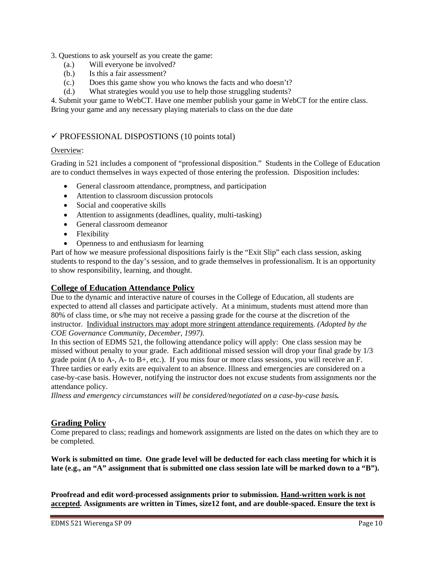### 3. Questions to ask yourself as you create the game:

- (a.) Will everyone be involved?
- (b.) Is this a fair assessment?
- (c.) Does this game show you who knows the facts and who doesn't?
- (d.) What strategies would you use to help those struggling students?

4. Submit your game to WebCT. Have one member publish your game in WebCT for the entire class. Bring your game and any necessary playing materials to class on the due date

# $\checkmark$  PROFESSIONAL DISPOSTIONS (10 points total)

### Overview:

Grading in 521 includes a component of "professional disposition." Students in the College of Education are to conduct themselves in ways expected of those entering the profession. Disposition includes:

- General classroom attendance, promptness, and participation
- Attention to classroom discussion protocols
- Social and cooperative skills
- Attention to assignments (deadlines, quality, multi-tasking)
- General classroom demeanor
- Flexibility
- Openness to and enthusiasm for learning

Part of how we measure professional dispositions fairly is the "Exit Slip" each class session, asking students to respond to the day's session, and to grade themselves in professionalism. It is an opportunity to show responsibility, learning, and thought.

# **College of Education Attendance Policy**

 *COE Governance Community, December, 1997).* Due to the dynamic and interactive nature of courses in the College of Education, all students are expected to attend all classes and participate actively. At a minimum, students must attend more than 80% of class time, or s/he may not receive a passing grade for the course at the discretion of the instructor. Individual instructors may adopt more stringent attendance requirements. *(Adopted by the* 

 missed without penalty to your grade. Each additional missed session will drop your final grade by 1/3 attendance policy. In this section of EDMS 521, the following attendance policy will apply: One class session may be grade point  $(A \text{ to } A$ -,  $A$ - to  $B$ +, etc.). If you miss four or more class sessions, you will receive an F. Three tardies or early exits are equivalent to an absence. Illness and emergencies are considered on a case-by-case basis. However, notifying the instructor does not excuse students from assignments nor the

*Illness and emergency circumstances will be considered/negotiated on a case-by-case basis.* 

# **Grading Policy**

Come prepared to class; readings and homework assignments are listed on the dates on which they are to be completed.

**Work is submitted on time. One grade level will be deducted for each class meeting for which it is late (e.g., an "A" assignment that is submitted one class session late will be marked down to a "B").** 

**Proofread and edit word-processed assignments prior to submission. Hand-written work is not accepted. Assignments are written in Times, size12 font, and are double-spaced. Ensure the text is**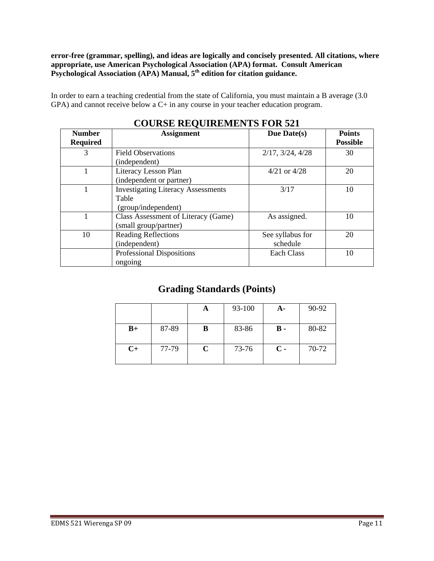**error-free (grammar, spelling), and ideas are logically and concisely presented. All citations, where appropriate, use American Psychological Association (APA) format. Consult American Psychological Association (APA) Manual, 5th edition for citation guidance.** 

In order to earn a teaching credential from the state of California, you must maintain a B average (3.0 GPA) and cannot receive below a C+ in any course in your teacher education program.

| COUNSE REQUIREMENTS FOR 321 |                                           |                  |                 |  |  |
|-----------------------------|-------------------------------------------|------------------|-----------------|--|--|
| <b>Number</b>               | <b>Assignment</b>                         | Due Date(s)      | <b>Points</b>   |  |  |
| <b>Required</b>             |                                           |                  | <b>Possible</b> |  |  |
| 3                           | <b>Field Observations</b>                 | 2/17, 3/24, 4/28 | 30              |  |  |
|                             | (independent)                             |                  |                 |  |  |
|                             | Literacy Lesson Plan                      | $4/21$ or $4/28$ | 20              |  |  |
|                             | (independent or partner)                  |                  |                 |  |  |
|                             | <b>Investigating Literacy Assessments</b> | 3/17             | 10              |  |  |
|                             | Table                                     |                  |                 |  |  |
|                             | (group/independent)                       |                  |                 |  |  |
|                             | Class Assessment of Literacy (Game)       | As assigned.     | 10              |  |  |
|                             | (small group/partner)                     |                  |                 |  |  |
| 10                          | <b>Reading Reflections</b>                | See syllabus for | 20              |  |  |
|                             | (independent)                             | schedule         |                 |  |  |
|                             | <b>Professional Dispositions</b>          | Each Class       | 10              |  |  |
|                             | ongoing                                   |                  |                 |  |  |

# **COURSE REQUIREMENTS FOR 521**

# **Grading Standards (Points)**

|      |       |   | 93-100 | A-            | 90-92 |
|------|-------|---|--------|---------------|-------|
| $B+$ | 87-89 | В | 83-86  | <b>B</b> -    | 80-82 |
| $C+$ | 77-79 | C | 73-76  | $\mathbf C$ - | 70-72 |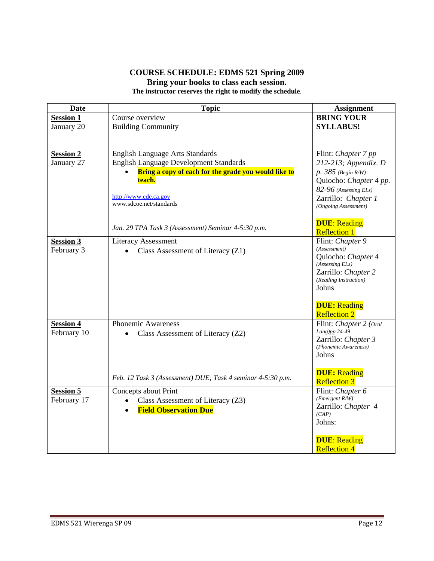# **COURSE SCHEDULE: EDMS 521 Spring 2009 Bring your books to class each session. The instructor reserves the right to modify the schedule**.

| Date                            | <b>Topic</b>                                                                                          | <b>Assignment</b>                            |
|---------------------------------|-------------------------------------------------------------------------------------------------------|----------------------------------------------|
| <b>Session 1</b>                | Course overview                                                                                       | <b>BRING YOUR</b>                            |
| January 20                      | <b>Building Community</b>                                                                             | <b>SYLLABUS!</b>                             |
|                                 |                                                                                                       |                                              |
| <b>Session 2</b>                | <b>English Language Arts Standards</b>                                                                | Flint: Chapter 7 pp                          |
| January 27                      | <b>English Language Development Standards</b><br>Bring a copy of each for the grade you would like to | 212-213; Appendix. D<br>$p. 385$ (Begin R/W) |
|                                 | teach.                                                                                                | Quiocho: Chapter 4 pp.                       |
|                                 |                                                                                                       | 82-96 (Assessing ELs)                        |
|                                 | http://www.cde.ca.gov                                                                                 | Zarrillo: Chapter 1                          |
|                                 | www.sdcoe.net/standards                                                                               | (Ongoing Assessment)                         |
|                                 |                                                                                                       |                                              |
|                                 | Jan. 29 TPA Task 3 (Assessment) Seminar 4-5:30 p.m.                                                   | <b>DUE: Reading</b><br><b>Reflection 1</b>   |
| <b>Session 3</b>                | <b>Literacy Assessment</b>                                                                            | Flint: Chapter 9                             |
| February 3                      | Class Assessment of Literacy (Z1)<br>$\bullet$                                                        | (Assessment)                                 |
|                                 |                                                                                                       | Quiocho: Chapter 4                           |
|                                 |                                                                                                       | (Assessing E Ls)<br>Zarrillo: Chapter 2      |
|                                 |                                                                                                       | (Reading Instruction)                        |
|                                 |                                                                                                       | Johns                                        |
|                                 |                                                                                                       |                                              |
|                                 |                                                                                                       | <b>DUE</b> : Reading                         |
|                                 | <b>Phonemic Awareness</b>                                                                             | <b>Reflection 2</b>                          |
| <b>Session 4</b><br>February 10 | Class Assessment of Literacy (Z2)                                                                     | Flint: Chapter 2 (Oral<br>$Lang$ )pp.24-49   |
|                                 |                                                                                                       | Zarrillo: Chapter 3                          |
|                                 |                                                                                                       | (Phonemic Awareness)                         |
|                                 |                                                                                                       | Johns                                        |
|                                 |                                                                                                       | <b>DUE</b> : Reading                         |
|                                 | Feb. 12 Task 3 (Assessment) DUE; Task 4 seminar 4-5:30 p.m.                                           | <b>Reflection 3</b>                          |
| <b>Session 5</b>                | Concepts about Print                                                                                  | Flint: Chapter 6                             |
| February 17                     | Class Assessment of Literacy (Z3)                                                                     | (Energy R/W)<br>Zarrillo: Chapter 4          |
|                                 | <b>Field Observation Due</b>                                                                          | (CAP)                                        |
|                                 |                                                                                                       | Johns:                                       |
|                                 |                                                                                                       |                                              |
|                                 |                                                                                                       | <b>DUE: Reading</b>                          |
|                                 |                                                                                                       | <b>Reflection 4</b>                          |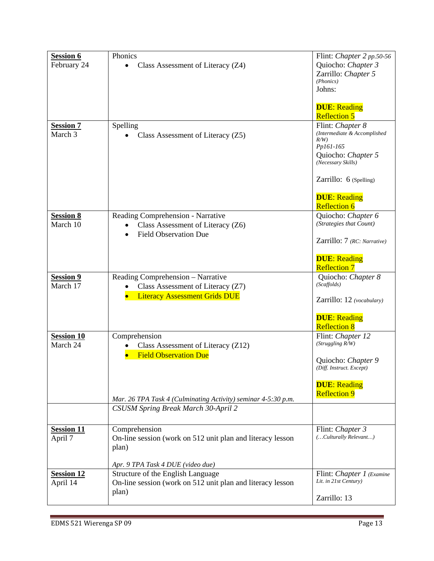| <b>Session 6</b>  | Phonics                                                       | Flint: Chapter 2 pp.50-56           |
|-------------------|---------------------------------------------------------------|-------------------------------------|
| February 24       | Class Assessment of Literacy (Z4)<br>$\bullet$                | Quiocho: Chapter 3                  |
|                   |                                                               | Zarrillo: Chapter 5                 |
|                   |                                                               | (Phonics)                           |
|                   |                                                               | Johns:                              |
|                   |                                                               |                                     |
|                   |                                                               | <b>DUE</b> : Reading                |
|                   |                                                               | <b>Reflection 5</b>                 |
| <b>Session 7</b>  | Spelling                                                      | Flint: Chapter 8                    |
| March 3           | Class Assessment of Literacy (Z5)                             | (Intermediate & Accomplished<br>R/W |
|                   |                                                               | Pp161-165                           |
|                   |                                                               | Quiocho: Chapter 5                  |
|                   |                                                               | (Necessary Skills)                  |
|                   |                                                               | Zarrillo: 6 (Spelling)              |
|                   |                                                               | <b>DUE</b> : Reading                |
|                   |                                                               | <b>Reflection 6</b>                 |
| <b>Session 8</b>  | Reading Comprehension - Narrative                             | Quiocho: Chapter 6                  |
| March 10          | Class Assessment of Literacy (Z6)                             | (Strategies that Count)             |
|                   | <b>Field Observation Due</b>                                  |                                     |
|                   |                                                               | Zarrillo: 7 (RC: Narrative)         |
|                   |                                                               | <b>DUE: Reading</b>                 |
|                   |                                                               | <b>Reflection 7</b>                 |
| <b>Session 9</b>  | Reading Comprehension - Narrative                             | Quiocho: Chapter 8                  |
| March 17          | Class Assessment of Literacy (Z7)                             | (Scaffolds)                         |
|                   | <b>Literacy Assessment Grids DUE</b>                          | Zarrillo: 12 (vocabulary)           |
|                   |                                                               |                                     |
|                   |                                                               | <b>DUE</b> : Reading                |
|                   |                                                               | <b>Reflection 8</b>                 |
| <b>Session 10</b> | Comprehension                                                 | Flint: Chapter 12                   |
| March 24          | Class Assessment of Literacy (Z12)<br>$\bullet$               | (Struggling R/W)                    |
|                   | <b>Field Observation Due</b>                                  |                                     |
|                   |                                                               | Quiocho: Chapter 9                  |
|                   |                                                               | (Diff. Instruct. Except)            |
|                   |                                                               | <b>DUE</b> : Reading                |
|                   |                                                               | <b>Reflection 9</b>                 |
|                   | Mar. 26 TPA Task 4 (Culminating Activity) seminar 4-5:30 p.m. |                                     |
|                   | CSUSM Spring Break March 30-April 2                           |                                     |
| <b>Session 11</b> | Comprehension                                                 | Flint: Chapter 3                    |
| April 7           | On-line session (work on 512 unit plan and literacy lesson    | (Culturally Relevant)               |
|                   | plan)                                                         |                                     |
|                   |                                                               |                                     |
|                   | Apr. 9 TPA Task 4 DUE (video due)                             |                                     |
| <b>Session 12</b> | Structure of the English Language                             | Flint: Chapter 1 (Examine           |
| April 14          | On-line session (work on 512 unit plan and literacy lesson    | Lit. in 21st Century)               |
|                   | plan)                                                         | Zarrillo: 13                        |
|                   |                                                               |                                     |